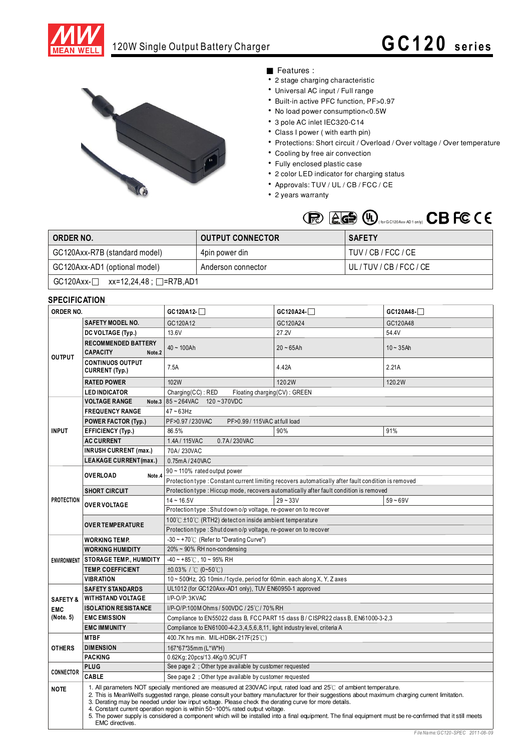

# 120W Single Output Battery Charger **G C 1 2 0 series**



## ■ Features :

- 2 stage charging characteristic
- Universal AC input / Full range
- Built-in active PFC function, PF>0.97
- No load power consumption<0.5W
- 3 pole AC inlet IEC320-C14
- Class I power (with earth pin)
- Protections: Short circuit / Overload / Over voltage / Over temperature
- Cooling by free air convection
- Fully enclosed plastic case
- 2 color LED indicator for charging status
- Approvals: TUV / UL / CB / FCC / CE
- 2 years warranty



| ORDER NO.                                           | <b>OUTPUT CONNECTOR</b> | <b>SAFETY</b>       |  |  |  |
|-----------------------------------------------------|-------------------------|---------------------|--|--|--|
| GC120Axx-R7B (standard model)                       | 4pin power din          | TUV / CB / FCC / CE |  |  |  |
| GC120Axx-AD1 (optional model)<br>Anderson connector |                         | UL/TUV/CB/FCC/CE    |  |  |  |
| $GC120Axx$ - $\Box$ xx=12,24,48; $\Box$ =R7B,AD1    |                         |                     |  |  |  |

## **SPECIFICATION**

| יוטו ואטו ווטב<br>ORDER NO. |                                                                                                                                                                                                                                                                                                                                                                                                                                                                                                                                                                                                                                                  | GC120A12-                                                                                                                     | GC120A24-   | $GC120A48-$  |  |  |
|-----------------------------|--------------------------------------------------------------------------------------------------------------------------------------------------------------------------------------------------------------------------------------------------------------------------------------------------------------------------------------------------------------------------------------------------------------------------------------------------------------------------------------------------------------------------------------------------------------------------------------------------------------------------------------------------|-------------------------------------------------------------------------------------------------------------------------------|-------------|--------------|--|--|
| <b>OUTPUT</b>               | <b>SAFETY MODEL NO.</b>                                                                                                                                                                                                                                                                                                                                                                                                                                                                                                                                                                                                                          | GC120A12                                                                                                                      | GC120A24    | GC120A48     |  |  |
|                             | DC VOLTAGE (Typ.)                                                                                                                                                                                                                                                                                                                                                                                                                                                                                                                                                                                                                                | 13.6V                                                                                                                         | 27.2V       | 54.4V        |  |  |
|                             | <b>RECOMMENDED BATTERY</b><br><b>CAPACITY</b><br>Note.2                                                                                                                                                                                                                                                                                                                                                                                                                                                                                                                                                                                          | $40 - 100Ah$                                                                                                                  | $20 - 65Ah$ | $10 - 35$ Ah |  |  |
|                             | <b>CONTINUOS OUTPUT</b><br><b>CURRENT (Typ.)</b>                                                                                                                                                                                                                                                                                                                                                                                                                                                                                                                                                                                                 | 7.5A                                                                                                                          | 4.42A       | 2.21A        |  |  |
|                             | <b>RATED POWER</b>                                                                                                                                                                                                                                                                                                                                                                                                                                                                                                                                                                                                                               | 102W                                                                                                                          | 120.2W      | 120.2W       |  |  |
|                             | <b>LED INDICATOR</b>                                                                                                                                                                                                                                                                                                                                                                                                                                                                                                                                                                                                                             | $Charging(CC)$ : RED<br>Floating charging(CV): GREEN                                                                          |             |              |  |  |
|                             | <b>VOLTAGE RANGE</b>                                                                                                                                                                                                                                                                                                                                                                                                                                                                                                                                                                                                                             | Note.3 $85 - 264$ VAC 120 ~ 370VDC                                                                                            |             |              |  |  |
| <b>INPUT</b>                | <b>FREQUENCY RANGE</b>                                                                                                                                                                                                                                                                                                                                                                                                                                                                                                                                                                                                                           | $47 - 63$ Hz                                                                                                                  |             |              |  |  |
|                             | <b>POWER FACTOR (Typ.)</b>                                                                                                                                                                                                                                                                                                                                                                                                                                                                                                                                                                                                                       | PF>0.97/230VAC<br>PF>0.99/115VAC at full load                                                                                 |             |              |  |  |
|                             | EFFICIENCY (Typ.)                                                                                                                                                                                                                                                                                                                                                                                                                                                                                                                                                                                                                                | 86.5%                                                                                                                         | 90%         | 91%          |  |  |
|                             | <b>AC CURRENT</b>                                                                                                                                                                                                                                                                                                                                                                                                                                                                                                                                                                                                                                | 0.7A/230VAC<br>1.4A / 115VAC                                                                                                  |             |              |  |  |
|                             | <b>INRUSH CURRENT (max.)</b>                                                                                                                                                                                                                                                                                                                                                                                                                                                                                                                                                                                                                     | 70A/230VAC                                                                                                                    |             |              |  |  |
|                             | <b>LEAKAGE CURRENT (max.)</b>                                                                                                                                                                                                                                                                                                                                                                                                                                                                                                                                                                                                                    | 0.75mA/240VAC                                                                                                                 |             |              |  |  |
| <b>PROTECTION</b>           | <b>OVERLOAD</b>                                                                                                                                                                                                                                                                                                                                                                                                                                                                                                                                                                                                                                  | 90 ~ 110% rated output power                                                                                                  |             |              |  |  |
|                             | Note .4                                                                                                                                                                                                                                                                                                                                                                                                                                                                                                                                                                                                                                          | Protection type : Constant current limiting recovers automatically after fault condition is removed                           |             |              |  |  |
|                             | <b>SHORT CIRCUIT</b>                                                                                                                                                                                                                                                                                                                                                                                                                                                                                                                                                                                                                             | Protection type : Hiccup mode, recovers automatically after fault condition is removed                                        |             |              |  |  |
|                             | <b>OVER VOLTAGE</b>                                                                                                                                                                                                                                                                                                                                                                                                                                                                                                                                                                                                                              | $14 - 16.5V$                                                                                                                  | $29 - 33V$  | $59 - 69V$   |  |  |
|                             |                                                                                                                                                                                                                                                                                                                                                                                                                                                                                                                                                                                                                                                  | Protection type: Shut down o/p voltage, re-power on to recover                                                                |             |              |  |  |
|                             | <b>OVER TEMPERATURE</b>                                                                                                                                                                                                                                                                                                                                                                                                                                                                                                                                                                                                                          | 100°C $\pm$ 10°C (RTH2) detect on inside ambient temperature                                                                  |             |              |  |  |
|                             |                                                                                                                                                                                                                                                                                                                                                                                                                                                                                                                                                                                                                                                  | Protection type: Shutdown o/p voltage, re-power on to recover                                                                 |             |              |  |  |
|                             | WORKING TEMP.                                                                                                                                                                                                                                                                                                                                                                                                                                                                                                                                                                                                                                    | $-30 \sim +70^{\circ}$ (Refer to "Derating Curve")                                                                            |             |              |  |  |
| <b>ENVIRONMENT</b>          | <b>WORKING HUMIDITY</b>                                                                                                                                                                                                                                                                                                                                                                                                                                                                                                                                                                                                                          | 20% ~ 90% RH non-condensing                                                                                                   |             |              |  |  |
|                             | <b>STORAGE TEMP., HUMIDITY</b>                                                                                                                                                                                                                                                                                                                                                                                                                                                                                                                                                                                                                   | $-40 \sim +85^{\circ}$ C, 10 ~ 95% RH                                                                                         |             |              |  |  |
|                             | <b>TEMP. COEFFICIENT</b>                                                                                                                                                                                                                                                                                                                                                                                                                                                                                                                                                                                                                         | ±0.03% / °C (0~50°C)                                                                                                          |             |              |  |  |
|                             | VIBRATION                                                                                                                                                                                                                                                                                                                                                                                                                                                                                                                                                                                                                                        | 10~500Hz, 2G 10min./1cycle, period for 60min. each along X, Y, Z axes                                                         |             |              |  |  |
|                             | <b>SAFETY STANDARDS</b>                                                                                                                                                                                                                                                                                                                                                                                                                                                                                                                                                                                                                          | UL1012 (for GC120Axx-AD1 only), TUV EN60950-1 approved                                                                        |             |              |  |  |
| <b>SAFETY &amp;</b>         | <b>WITHSTAND VOLTAGE</b>                                                                                                                                                                                                                                                                                                                                                                                                                                                                                                                                                                                                                         | I/P-O/P: 3KVAC                                                                                                                |             |              |  |  |
| <b>EMC</b>                  | ISOLATION RESISTA NCE                                                                                                                                                                                                                                                                                                                                                                                                                                                                                                                                                                                                                            | I/P-O/P:100M Ohms / 500VDC / 25℃/ 70% RH<br>Compliance to EN55022 dass B, FCC PART 15 dass B / CISPR22 class B, EN61000-3-2,3 |             |              |  |  |
| (Note. 5)                   | <b>EMC EMISSION</b>                                                                                                                                                                                                                                                                                                                                                                                                                                                                                                                                                                                                                              |                                                                                                                               |             |              |  |  |
|                             | <b>EMC IMMUNITY</b>                                                                                                                                                                                                                                                                                                                                                                                                                                                                                                                                                                                                                              | Compliance to EN61000-4-2, 3, 4, 5, 6, 8, 11, light industry level, criteria A                                                |             |              |  |  |
|                             | <b>MTBF</b>                                                                                                                                                                                                                                                                                                                                                                                                                                                                                                                                                                                                                                      | 400.7K hrs min. MIL-HDBK-217F(25 $°C$ )                                                                                       |             |              |  |  |
| <b>OTHERS</b>               | <b>DIMENSION</b>                                                                                                                                                                                                                                                                                                                                                                                                                                                                                                                                                                                                                                 | 167*67*35mm (L*W*H)                                                                                                           |             |              |  |  |
|                             | <b>PACKING</b>                                                                                                                                                                                                                                                                                                                                                                                                                                                                                                                                                                                                                                   | 0.62Kg; 20pcs/13.4Kg/0.9CUFT                                                                                                  |             |              |  |  |
| <b>CONNECTOR</b>            | <b>PLUG</b>                                                                                                                                                                                                                                                                                                                                                                                                                                                                                                                                                                                                                                      | See page 2 ; Other type available by customer requested                                                                       |             |              |  |  |
|                             | CABLE                                                                                                                                                                                                                                                                                                                                                                                                                                                                                                                                                                                                                                            | See page 2 ; Other type available by customer requested                                                                       |             |              |  |  |
| <b>NOTE</b>                 | 1. All parameters NOT specially mentioned are measured at 230VAC input, rated load and 25°C of ambient temperature.<br>2. This is MeanWell's suggested range, please consult your battery manufacturer for their suggestions about maximum charging current limitation.<br>3. Derating may be needed under low input voltage. Please check the derating curve for more details.<br>4. Constant current operation region is within 50~100% rated output voltage.<br>5. The power supply is considered a component which will be installed into a final equipment. The final equipment must be re-confirmed that it still meets<br>EMC directives. |                                                                                                                               |             |              |  |  |